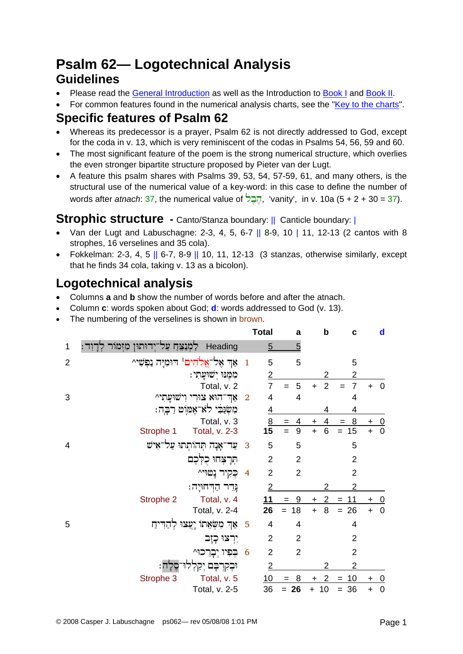# **Psalm 62— Logotechnical Analysis Guidelines**

- Please read the [General Introduction](http://www.labuschagne.nl/aspects.pdf) as well as the Introduction to [Book I](http://www.labuschagne.nl/intro1.pdf) and [Book II](http://www.labuschagne.nl/intro2.pdf).
- For common features found in the numerical analysis charts, see the "[Key to the charts](http://www.labuschagne.nl/keytocharts.pdf)".

### **Specific features of Psalm 62**

- Whereas its predecessor is a prayer, Psalm 62 is not directly addressed to God, except for the coda in v. 13, which is very reminiscent of the codas in Psalms 54, 56, 59 and 60.
- The most significant feature of the poem is the strong numerical structure, which overlies the even stronger bipartite structure proposed by Pieter van der Lugt.
- A feature this psalm shares with Psalms 39, 53, 54, 57-59, 61, and many others, is the structural use of the numerical value of a key-word: in this case to define the number of words after *atnach*: 37, the numerical value of  $\overline{55}$ , 'vanity', in v. 10a (5 + 2 + 30 = 37).

### **Strophic structure** - Canto/Stanza boundary: || Canticle boundary: ||

- Van der Lugt and Labuschagne: 2-3, 4, 5, 6-7  $||$  8-9, 10 | 11, 12-13 (2 cantos with 8 strophes, 16 verselines and 35 cola).
- Fokkelman: 2-3, 4, 5  $\parallel$  6-7, 8-9  $\parallel$  10, 11, 12-13 (3 stanzas, otherwise similarly, except that he finds 34 cola, taking v. 13 as a bicolon).

## **Logotechnical analysis**

- Columns **a** and **b** show the number of words before and after the atnach.
- Column **c**: words spoken about God; **d**: words addressed to God (v. 13).
- The numbering of the verselines is shown in brown.

|                |                                                     |                          | <b>Total</b>    | a              | $\mathbf b$             | C                     |           | d              |
|----------------|-----------------------------------------------------|--------------------------|-----------------|----------------|-------------------------|-----------------------|-----------|----------------|
| 1              | ַלַמְנַצֵּחַ עַל־יִדוּתוּן מִזְמוֹר לְדָ<br>Heading |                          | $\overline{5}$  | 5              |                         |                       |           |                |
| $\overline{2}$ | אַד אָל־אֵלֹהִים <sup>1</sup> דוּמִיַּה נַפִּשִׁי^  | $\mathbf{1}$             | 5               | 5              |                         | 5                     |           |                |
|                | כִזְמֵנּוּ יִשׁוּעֲתָי:                             |                          | $\overline{2}$  |                | 2                       | 2                     |           |                |
|                | Total, v. 2                                         |                          | $\overline{7}$  | 5<br>$=$       | $\overline{2}$<br>$+$   | $\overline{7}$<br>$=$ | $+$       | $\overline{0}$ |
| 3              | אַד־הוּא צוּרִי וְישׁוּעָתִי^                       | $\overline{\phantom{a}}$ | 4               | $\overline{4}$ |                         | 4                     |           |                |
|                | משִׂנֵּבִי לא־אָמּוִט רַבְה:                        |                          | $\overline{4}$  |                | 4                       | 4                     |           |                |
|                | Total, v. 3                                         |                          | $\underline{8}$ | 4<br>$=$       | 4<br>$\pm$              | 8<br>$=$              | $\ddot{}$ | $\overline{0}$ |
|                | Total, v. 2-3<br>Strophe 1                          |                          | $1\overline{5}$ | 9<br>$=$       | 6<br>$\ddot{}$          | 15<br>$=$             | $\ddot{}$ | $\overline{0}$ |
| 4              | עַר־אָנָה תְּהוֹתִתוּ עַל־אִישׁ                     | 3                        | 5               | 5              |                         | 5                     |           |                |
|                | הַרָצְחוּ כִלְכֶם                                   |                          | $\overline{2}$  | $\overline{2}$ |                         | $\overline{2}$        |           |                |
|                | כְקיר נָטוּי^                                       | $\overline{4}$           | $\overline{2}$  | $\overline{2}$ |                         | $\overline{2}$        |           |                |
|                | גֶּדֵר הַדְחוּיָה:                                  |                          | $\overline{2}$  |                | 2                       | 2                     |           |                |
|                | Strophe 2<br>Total, v. 4                            |                          | 11              | - 9<br>$=$     | 2                       | 11<br>$=$             | $\ddot{}$ | $\overline{0}$ |
|                | Total, v. 2-4                                       |                          | 26              | 18<br>$=$      | 8<br>$+$                | $= 26$                | $+$       | $\mathbf 0$    |
| 5              | אַךְ מִשְּׂאֵתוֹ יָעֲצוּ לְהַדִּיהַ                 | 5                        | 4               | 4              |                         | 4                     |           |                |
|                | יִרְצוּ כְזָב                                       |                          | $\overline{2}$  | $\overline{2}$ |                         | $\overline{2}$        |           |                |
|                | בְפִיו יְבָרֵכוּ^                                   | 6                        | $\overline{2}$  | $\overline{2}$ |                         | $\overline{2}$        |           |                |
|                | וּבְקִרְבָּם יִקַל                                  |                          | $\overline{2}$  |                | 2                       | $\overline{2}$        |           |                |
|                | Strophe 3<br>Total, v. 5                            |                          | 10              | $= 8$          | $\overline{2}$<br>$\pm$ | $= 10$                | $\ddot{}$ | $\cup$         |
|                | Total, v. 2-5                                       |                          | 36              | $= 26$         | 10<br>$+$               | $= 36$                | $\ddot{}$ | $\overline{0}$ |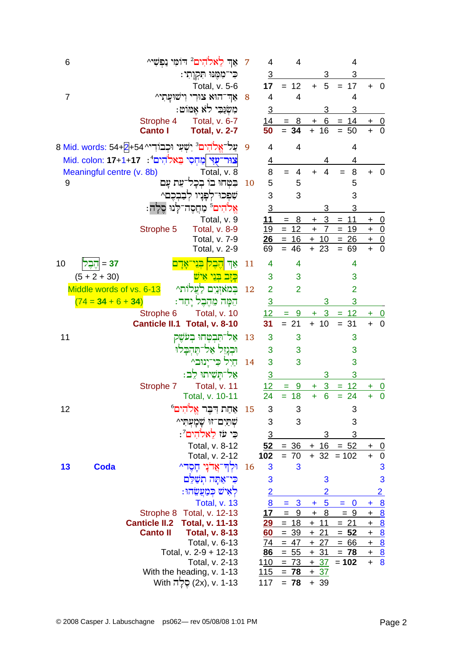| 6              |                           |                                                                         | אַך לֵאלֹהִים <sup>2</sup> דוֹמִי נַפִּשִׁי^ | 7  | 4              | 4                                     |                         | 4                  |                                               |                          |
|----------------|---------------------------|-------------------------------------------------------------------------|----------------------------------------------|----|----------------|---------------------------------------|-------------------------|--------------------|-----------------------------------------------|--------------------------|
|                |                           |                                                                         | כִּי־מִמֶּנוּ תִּקְוָתִי:                    |    | $\overline{3}$ |                                       | 3                       | 3                  |                                               |                          |
|                |                           |                                                                         | Total, v. 5-6                                |    | 17             | $= 12$                                | 5<br>$+$                | 17<br>$=$          | $+ 0$                                         |                          |
| $\overline{7}$ |                           |                                                                         | אַד־הוּא צוּרִי וְישׁוּעַתִי^                | 8  | 4              | 4                                     |                         | 4                  |                                               |                          |
|                |                           |                                                                         | מִשְׂנֵּבִי לֹא אֶמּוֹט:                     |    | $\overline{3}$ |                                       | 3                       | 3                  |                                               |                          |
|                |                           | Strophe 4                                                               | Total, v. 6-7                                |    | 14             | $= 8$                                 | 6<br>$\ddot{}$          | $= 14$             | +                                             | $\overline{0}$           |
|                |                           | <b>Canto I</b>                                                          | <b>Total, v. 2-7</b>                         |    | 50             | $= 34$                                | $+ 16$                  | 50<br>$=$          | $\ddot{}$                                     | $\overline{0}$           |
|                |                           |                                                                         |                                              |    |                |                                       |                         |                    |                                               |                          |
|                |                           | 8 Mid. words: 54+2+54^ פְּל־אֱלֹדְיִם <sup>3</sup> יִשְׁעִי וּכְבוֹדִיי |                                              | 9  | 4              | $\overline{4}$                        |                         | 4                  |                                               |                          |
|                |                           | צוּר־עָיִי כְּמַחִסִי בֵאלֹהִים 21+1+17 Mid. colon: 17+1+17             |                                              |    | <u>4</u>       |                                       | 4                       | 4                  |                                               |                          |
|                | Meaningful centre (v. 8b) |                                                                         | Total, v. 8                                  |    | 8              | 4<br>$=$                              | 4<br>$\ddot{}$          | 8                  | ÷                                             | $\overline{0}$           |
| 9              |                           |                                                                         | בִּטְחוּ בוֹ בְכָל־עֵת עָם                   | 10 | 5              | 5                                     |                         | 5                  |                                               |                          |
|                |                           |                                                                         | שִׁפְּכוּ־לְפָּנָיו לְבַבְכֶם^               |    | 3              | 3                                     |                         | 3                  |                                               |                          |
|                |                           |                                                                         | אַלֹהִים ֿ מַחֲסֶה־לְנוּ סֶלְה:              |    | $\overline{3}$ |                                       | 3                       | 3                  |                                               |                          |
|                |                           |                                                                         | Total, v. 9                                  |    | 11             | 8<br>$=$                              | 3<br>$\ddagger$         | $= 11$             | +                                             | <u>_0</u>                |
|                |                           | Strophe 5                                                               | <b>Total, v. 8-9</b>                         |    | 19             | $= 12$                                | $+$<br>$\overline{7}$   | $= 19$             | $+$ 0                                         |                          |
|                |                           |                                                                         | Total, v. 7-9                                |    |                | $26 = 16$                             | $+ 10$                  | $= 26$             | $+ 0$                                         |                          |
|                |                           |                                                                         | Total, v. 2-9                                |    | 69             | $= 46$                                | $+23$                   | 69<br>$=$          | $\ddot{}$                                     | $\mathbf 0$              |
| 10             | 37 = 1ֶהֶבֶל              |                                                                         | <u>הָבְל</u><br>া४                           | 11 | 4              | 4                                     |                         | 4                  |                                               |                          |
|                | $(5 + 2 + 30)$            |                                                                         | <u>כזב בני</u>                               |    | 3              | 3                                     |                         | 3                  |                                               |                          |
|                | Middle words of vs. 6-13  |                                                                         | במאזנים לַעֲלות^                             | 12 | $\overline{2}$ | $\overline{2}$                        |                         | $\overline{2}$     |                                               |                          |
|                | $(74 = 34 + 6 + 34)$      |                                                                         | הֵמָּה מֵהֵבֵל יָחַד:                        |    | $\overline{3}$ |                                       | 3                       | 3                  |                                               |                          |
|                |                           | Strophe 6                                                               | Total, v. 10                                 |    | 12             | 9<br>Ξ.                               | 3<br>÷                  | 12<br>$=$          | ÷.                                            | $\overline{\phantom{0}}$ |
|                |                           | <b>Canticle II.1</b>                                                    | <b>Total, v. 8-10</b>                        |    | 31             | $= 21$                                | $+ 10$                  | $= 31$             | $\ddot{}$                                     | $\overline{\mathbf{0}}$  |
| 11             |                           |                                                                         | אל־תִּבְטְחוּ בִעֹשׁק                        | 13 | 3              | 3                                     |                         | 3                  |                                               |                          |
|                |                           |                                                                         | ובגזל אל־תהבלוּ                              |    | 3              | 3                                     |                         | 3                  |                                               |                          |
|                |                           |                                                                         | חיל כי־ינוּב^                                | 14 | 3              | 3                                     |                         | 3                  |                                               |                          |
|                |                           |                                                                         | אַל־תַּשִׁיתוּ לֵב:                          |    | $\overline{3}$ |                                       | 3                       | 3                  |                                               |                          |
|                |                           | Strophe 7                                                               | Total, v. 11                                 |    | 12             | <u>9</u>                              | $\overline{3}$<br>$\pm$ | <u>12</u>          | ÷                                             | $\overline{\mathbf{0}}$  |
|                |                           |                                                                         | Total, v. 10-11                              |    | 24             | Ξ<br>$= 18$                           | 6<br>$\ddot{}$          | $\equiv$<br>$= 24$ | ÷                                             | $\boldsymbol{0}$         |
| 12             |                           |                                                                         | אַחַת דִּבֵּר אֱלֹהִים <sup>6</sup>          | 15 | 3              | 3                                     |                         | 3                  |                                               |                          |
|                |                           |                                                                         |                                              |    | 3              | 3                                     |                         | 3                  |                                               |                          |
|                |                           |                                                                         | שִׁתַּיִם־זוּ שַׁמַעִתִּי^                   |    |                |                                       |                         |                    |                                               |                          |
|                |                           |                                                                         | ּכִּי עֹז לֵאלֹהִים <sup>7</sup> :           |    | $\overline{3}$ |                                       | 3                       | 3                  |                                               |                          |
|                |                           |                                                                         | Total, v. 8-12                               |    | 52             | $= 36$                                | $+ 16$                  | $= 52$             | +                                             | $\overline{0}$           |
|                |                           |                                                                         | Total, v. 2-12                               |    | 102            | $= 70$                                |                         | $+ 32 = 102$       | $\ddot{}$                                     | $\pmb{0}$                |
| 13             | <b>Coda</b>               |                                                                         | וּלְדְ־אֲדֹנֵי חֵסֶד^                        | 16 | 3              | 3                                     |                         |                    |                                               | 3                        |
|                |                           |                                                                         | אַתַּה תִשָּׁלֵם                             |    | 3              |                                       | 3                       |                    |                                               | 3                        |
|                |                           |                                                                         | לאיש כמעשהו:                                 |    |                |                                       | $\overline{2}$          |                    |                                               | $\overline{2}$           |
|                |                           |                                                                         | Total, v. 13                                 |    | 8              | 3<br>Ξ                                | 5<br>÷                  | $\bf{0}$<br>Ξ      | ÷                                             | $\overline{\mathbf{8}}$  |
|                |                           |                                                                         | Strophe 8 Total, v. 12-13                    |    | 17             | $\boldsymbol{9}$<br>$\qquad \qquad =$ | 8<br>$\ddot{}$          | $= 9$              | $\ddot{}$                                     | $\overline{8}$           |
|                |                           | <b>Canticle II.2</b>                                                    | <b>Total, v. 11-13</b>                       |    | <u> 29</u>     | 18<br>$=$                             | 11<br>$+$               | 21<br>$=$          | $\ddot{}$                                     | $\overline{8}$           |
|                |                           | <b>Canto II</b>                                                         | <b>Total, v. 8-13</b>                        |    | 60             | $= 39$                                | $+21$                   | $= 52$             | $\ddot{}$                                     | $\frac{8}{2}$            |
|                |                           |                                                                         | Total, v. 6-13<br>Total, v. 2-9 + 12-13      |    | 74<br>86       | $= 47$<br>$= 55$                      | $+27$<br>$+31$          | $= 66$<br>$= 78$   | $\ddot{}$<br>$\begin{array}{c} + \end{array}$ | $\frac{8}{1}$            |
|                |                           |                                                                         | Total, v. 2-13                               |    | 110            | $= 73$                                | $+37$                   | $= 102$            | $\ddot{}$                                     | $\frac{8}{8}$            |
|                |                           |                                                                         | With the heading, v. 1-13                    |    | <u>115</u>     | $= 78$                                | $+37$                   |                    |                                               |                          |
|                |                           |                                                                         | 1-13 .v. 1-13 סֵלֶה With                     |    | 117            | $= 78$                                | $+39$                   |                    |                                               |                          |
|                |                           |                                                                         |                                              |    |                |                                       |                         |                    |                                               |                          |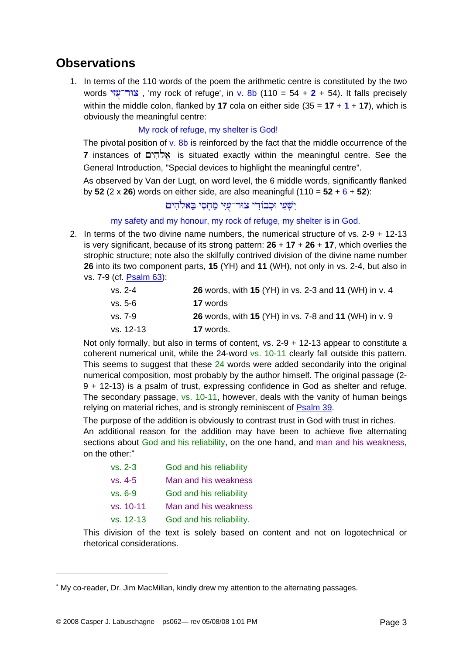### **Observations**

1. In terms of the 110 words of the poem the arithmetic centre is constituted by the two words יצור־עָיִי, 'my rock of refuge', in v. 8b (110 = 54 + 2 + 54). It falls precisely within the middle colon, flanked by **17** cola on either side  $(35 = 17 + 1 + 17)$ , which is obviously the meaningful centre:

#### My rock of refuge, my shelter is God!

The pivotal position of  $v$ . 8b is reinforced by the fact that the middle occurrence of the **7** instances of £yih»lÈ' is situated exactly within the meaningful centre. See the General Introduction, "Special devices to highlight the meaningful centre".

As observed by Van der Lugt, on word level, the 6 middle words, significantly flanked by **52** (2 x **26**) words on either side, are also meaningful (110 = **52** + 6 + **52**):

### יִשְׁעִי וּכִבוֹדִי צוּר־עָזִי מַחִסִי בֵּאלֹהִים

#### my safety and my honour, my rock of refuge, my shelter is in God.

2. In terms of the two divine name numbers, the numerical structure of vs. 2-9 + 12-13 is very significant, because of its strong pattern: **26** + **17** + **26** + **17**, which overlies the strophic structure; note also the skilfully contrived division of the divine name number **26** into its two component parts, **15** (YH) and **11** (WH), not only in vs. 2-4, but also in vs. 7-9 (cf. [Psalm 63](http://www.labuschagne.nl/ps063.pdf)):

| vs. 2-4   | 26 words, with 15 (YH) in vs. 2-3 and 11 (WH) in v. 4 |
|-----------|-------------------------------------------------------|
| vs. 5-6   | <b>17</b> words                                       |
| vs. 7-9   | 26 words, with 15 (YH) in vs. 7-8 and 11 (WH) in v. 9 |
| vs. 12-13 | 17 words.                                             |

Not only formally, but also in terms of content, vs. 2-9 + 12-13 appear to constitute a coherent numerical unit, while the 24-word vs. 10-11 clearly fall outside this pattern. This seems to suggest that these 24 words were added secondarily into the original numerical composition, most probably by the author himself. The original passage (2- 9 + 12-13) is a psalm of trust, expressing confidence in God as shelter and refuge. The secondary passage, vs. 10-11, however, deals with the vanity of human beings relying on material riches, and is strongly reminiscent of [Psalm 39](http://www.labuschagne.nl/ps039.pdf).

The purpose of the addition is obviously to contrast trust in God with trust in riches. An additional reason for the addition may have been to achieve five alternating sections about God and his reliability, on the one hand, and man and his weakness, on the other:<sup>\*</sup>

| $vs. 2-3$ | God and his reliability  |
|-----------|--------------------------|
| $vs. 4-5$ | Man and his weakness     |
| $vs. 6-9$ | God and his reliability  |
| vs. 10-11 | Man and his weakness     |
| vs. 12-13 | God and his reliability. |

This division of the text is solely based on content and not on logotechnical or rhetorical considerations.

 $\overline{a}$ 

<span id="page-2-0"></span><sup>∗</sup> My co-reader, Dr. Jim MacMillan, kindly drew my attention to the alternating passages.